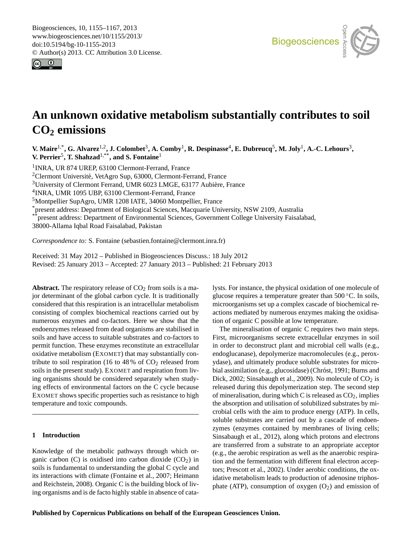<span id="page-0-0"></span>Biogeosciences, 10, 1155–1167, 2013 www.biogeosciences.net/10/1155/2013/ doi:10.5194/bg-10-1155-2013 © Author(s) 2013. CC Attribution 3.0 License.





# o<br>Open Access **An unknown oxidative metabolism substantially contributes to soil CO<sup>2</sup> emissions**

Dynamics **V. Maire**1,\***, G. Alvarez**1,2**, J. Colombet**<sup>3</sup> **, A. Comby**<sup>1</sup> **, R. Despinasse**<sup>4</sup> **, E. Dubreucq**<sup>5</sup> **, M. Joly**<sup>1</sup> **, A.-C. Lehours**<sup>3</sup> **, V. Perrier**<sup>5</sup> **, T. Shahzad**1,\*\***, and S. Fontaine**<sup>1</sup>

1 INRA, UR 874 UREP, 63100 Clermont-Ferrand, France

<sup>2</sup>Clermont Université, VetAgro Sup, 63000, Clermont-Ferrand, France

<sup>3</sup>University of Clermont Ferrand, UMR 6023 LMGE, 63177 Aubière, France

4 INRA, UMR 1095 UBP, 63100 Clermont-Ferrand, France

<sup>5</sup>Montpellier SupAgro, UMR 1208 IATE, 34060 Montpellier, France

- Montpellier SupAgro, UMK 1208 IATE, 34060 Montpellier, France<br>\*present address: Department of Biological Sciences, Macquarie University, NSW 2109, Australia

\*present address: Department of Environmental Sciences, Government College University Faisalabad,

38000-Allama Iqbal Road Faisalabad, Pakistan

*Correspondence to:* S. Fontaine (sebastien.fontaine@clermont.inra.fr)

Received: 31 May 2012 – Published in Biogeosciences Discuss.: 18 July 2012 Revised: 25 January 2013 – Accepted: 27 January 2013 – Published: 21 February 2013

**Abstract.** The respiratory release of  $CO<sub>2</sub>$  from soils is a major determinant of the global carbon cycle. It is traditionally considered that this respiration is an intracellular metabolism consisting of complex biochemical reactions carried out by numerous enzymes and co-factors. Here we show that the endoenzymes released from dead organisms are stabilised in soils and have access to suitable substrates and co-factors to permit function. These enzymes reconstitute an extracellular oxidative metabolism (EXOMET) that may substantially contribute to soil respiration (16 to 48 % of  $CO<sub>2</sub>$  released from soils in the present study). EXOMET and respiration from living organisms should be considered separately when studying effects of environmental factors on the C cycle because EXOMET shows specific properties such as resistance to high temperature and toxic compounds.

# **1 Introduction**

Knowledge of the metabolic pathways through which organic carbon (C) is oxidised into carbon dioxide  $(CO<sub>2</sub>)$  in soils is fundamental to understanding the global C cycle and its interactions with climate (Fontaine et al., 2007; Heimann and Reichstein, 2008). Organic C is the building block of living organisms and is de facto highly stable in absence of cata-

lysts. For instance, the physical oxidation of one molecule of glucose requires a temperature greater than 500 °C. In soils,<br>micrographiens est up a complex cascade of biochemical re- $\begin{bmatrix} 1 & 0 \\ 0 & 1 \end{bmatrix}$ microorganisms set up a complex cascade of biochemical reactions mediated by numerous enzymes making the oxidisation of organic C possible at low temperature.

First, microorganisms secrete extracellular enzymes in soil 'o<br>zy<br>:11  $Bick, 2002, 5003$  is depolymerization step. The second step released during this depolymerization step. The second step 91<br>cu<br>C zymes (enzymes contained by memoranes of fiving cells;<br>Sinsabaugh et al., 2012), along which protons and electrons le<br>f 1<br>ria The mineralisation of organic C requires two main steps. in order to deconstruct plant and microbial cell walls (e.g., endoglucanase), depolymerize macromolecules (e.g., peroxydase), and ultimately produce soluble substrates for microbial assimilation (e.g., glucosidase) (Chróst, 1991; Burns and Dick, 2002; Sinsabaugh et al., 2009). No molecule of  $CO<sub>2</sub>$  is of mineralisation, during which C is released as  $CO<sub>2</sub>$ , implies the absorption and utilisation of solubilized substrates by microbial cells with the aim to produce energy (ATP). In cells, soluble substrates are carried out by a cascade of endoenzymes (enzymes contained by membranes of living cells; are transferred from a substrate to an appropriate acceptor (e.g., the aerobic respiration as well as the anaerobic respiration and the fermentation with different final electron acceptors; Prescott et al., 2002). Under aerobic conditions, the oxidative metabolism leads to production of adenosine triphosphate (ATP), consumption of oxygen  $(O_2)$  and emission of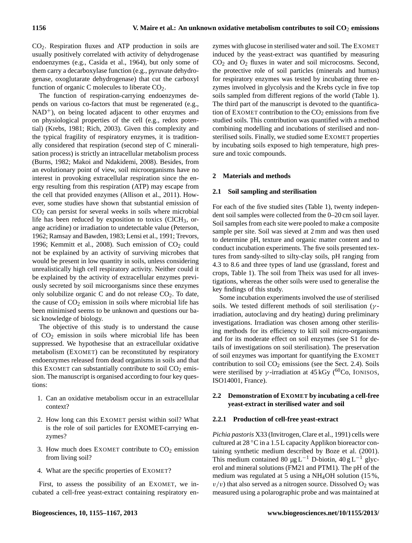CO2. Respiration fluxes and ATP production in soils are usually positively correlated with activity of dehydrogenase endoenzymes (e.g., Casida et al., 1964), but only some of them carry a decarboxylase function (e.g., pyruvate dehydrogenase, oxoglutarate dehydrogenase) that cut the carboxyl function of organic C molecules to liberate  $CO<sub>2</sub>$ .

The function of respiration-carrying endoenzymes depends on various co-factors that must be regenerated (e.g.,  $NAD<sup>+</sup>$ ), on being located adjacent to other enzymes and on physiological properties of the cell (e.g., redox potential) (Krebs, 1981; Rich, 2003). Given this complexity and the typical fragility of respiratory enzymes, it is traditionally considered that respiration (second step of C mineralisation process) is strictly an intracellular metabolism process (Burns, 1982; Makoi and Ndakidemi, 2008). Besides, from an evolutionary point of view, soil microorganisms have no interest in provoking extracellular respiration since the energy resulting from this respiration (ATP) may escape from the cell that provided enzymes (Allison et al., 2011). However, some studies have shown that substantial emission of  $CO<sub>2</sub>$  can persist for several weeks in soils where microbial life has been reduced by exposition to toxics  $(ClCH<sub>3</sub>, or$ ange acridine) or irradiation to undetectable value (Peterson, 1962; Ramsay and Bawden, 1983; Lensi et al., 1991; Trevors, 1996; Kemmitt et al., 2008). Such emission of  $CO<sub>2</sub>$  could not be explained by an activity of surviving microbes that would be present in low quantity in soils, unless considering unrealistically high cell respiratory activity. Neither could it be explained by the activity of extracellular enzymes previously secreted by soil microorganisms since these enzymes only solubilize organic C and do not release  $CO<sub>2</sub>$ . To date, the cause of  $CO<sub>2</sub>$  emission in soils where microbial life has been minimised seems to be unknown and questions our basic knowledge of biology.

The objective of this study is to understand the cause of  $CO<sub>2</sub>$  emission in soils where microbial life has been suppressed. We hypothesise that an extracellular oxidative metabolism (EXOMET) can be reconstituted by respiratory endoenzymes released from dead organisms in soils and that this EXOMET can substantially contribute to soil  $CO<sub>2</sub>$  emission. The manuscript is organised according to four key questions:

- 1. Can an oxidative metabolism occur in an extracellular context?
- 2. How long can this EXOMET persist within soil? What is the role of soil particles for EXOMET-carrying enzymes?
- 3. How much does EXOMET contribute to  $CO<sub>2</sub>$  emission from living soil?
- 4. What are the specific properties of EXOMET?

First, to assess the possibility of an EXOMET, we incubated a cell-free yeast-extract containing respiratory enzymes with glucose in sterilised water and soil. The EXOMET induced by the yeast-extract was quantified by measuring  $CO<sub>2</sub>$  and  $O<sub>2</sub>$  fluxes in water and soil microcosms. Second, the protective role of soil particles (minerals and humus) for respiratory enzymes was tested by incubating three enzymes involved in glycolysis and the Krebs cycle in five top soils sampled from different regions of the world (Table 1). The third part of the manuscript is devoted to the quantification of EXOMET contribution to the  $CO<sub>2</sub>$  emissions from five studied soils. This contribution was quantified with a method combining modelling and incubations of sterilised and nonsterilised soils. Finally, we studied some EXOMET properties by incubating soils exposed to high temperature, high pressure and toxic compounds.

# **2 Materials and methods**

## **2.1 Soil sampling and sterilisation**

For each of the five studied sites (Table 1), twenty independent soil samples were collected from the 0–20 cm soil layer. Soil samples from each site were pooled to make a composite sample per site. Soil was sieved at 2 mm and was then used to determine pH, texture and organic matter content and to conduct incubation experiments. The five soils presented textures from sandy-silted to silty-clay soils, pH ranging from 4.3 to 8.6 and three types of land use (grassland, forest and crops, Table 1). The soil from Theix was used for all investigations, whereas the other soils were used to generalise the key findings of this study.

Some incubation experiments involved the use of sterilised soils. We tested different methods of soil sterilisation ( $\gamma$ irradiation, autoclaving and dry heating) during preliminary investigations. Irradiation was chosen among other sterilising methods for its efficiency to kill soil micro-organisms and for its moderate effect on soil enzymes (see S1 for details of investigations on soil sterilisation). The preservation of soil enzymes was important for quantifying the EXOMET contribution to soil  $CO<sub>2</sub>$  emissions (see the Sect. 2.4). Soils were sterilised by  $\gamma$ -irradiation at 45 kGy (<sup>60</sup>Co, IONISOS, ISO14001, France).

# **2.2 Demonstration of EXOMET by incubating a cell-free yeast-extract in sterilised water and soil**

## **2.2.1 Production of cell-free yeast-extract**

*Pichia pastoris* X33 (Invitrogen, Clare et al., 1991) cells were cultured at 28 ◦C in a 1.5 L capacity Applikon bioreactor containing synthetic medium described by Boze et al. (2001). This medium contained 80 µg L<sup>-1</sup> D-biotin, 40 g L<sup>-1</sup> glycerol and mineral solutions (FM21 and PTM1). The pH of the medium was regulated at 5 using a NH4OH solution (15 %,  $v/v$ ) that also served as a nitrogen source. Dissolved  $O_2$  was measured using a polarographic probe and was maintained at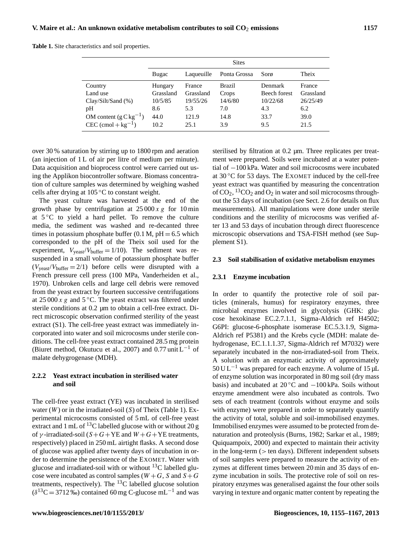**Table 1.** Site characteristics and soil properties.

|                          | <b>Sites</b> |            |               |                     |           |  |  |
|--------------------------|--------------|------------|---------------|---------------------|-----------|--|--|
|                          | Bugac        | Laqueuille | Ponta Grossa  | Sorø                | Theix     |  |  |
| Country                  | Hungary      | France     | <b>Brazil</b> | Denmark             | France    |  |  |
| Land use                 | Grassland    | Grassland  | Crops         | <b>Beech forest</b> | Grassland |  |  |
| Clav/Silt/Sand (%)       | 10/5/85      | 19/55/26   | 14/6/80       | 10/22/68            | 26/25/49  |  |  |
| pH                       | 8.6          | 5.3        | 7.0           | 4.3                 | 6.2       |  |  |
| OM content $(gCkg^{-1})$ | 44.0         | 121.9      | 14.8          | 33.7                | 39.0      |  |  |
| $CEC (cmol + kg-1)$      | 10.2         | 25.1       | 3.9           | 9.5                 | 21.5      |  |  |

over 30 % saturation by stirring up to 1800 rpm and aeration (an injection of 1 L of air per litre of medium per minute). Data acquisition and bioprocess control were carried out using the Applikon biocontroller software. Biomass concentration of culture samples was determined by weighing washed cells after drying at 105 ◦C to constant weight.

The yeast culture was harvested at the end of the growth phase by centrifugation at  $25000 x g$  for 10 min at  $5^{\circ}$ C to yield a hard pellet. To remove the culture media, the sediment was washed and re-decanted three times in potassium phosphate buffer  $(0.1 M, pH = 6.5$  which corresponded to the pH of the Theix soil used for the experiment,  $V_{\text{least}}/V_{\text{buffer}} = 1/10$ . The sediment was resuspended in a small volume of potassium phosphate buffer  $(V_{\text{veast}}/V_{\text{buffer}} = 2/1)$  before cells were disrupted with a French pressure cell press (100 MPa, Vanderheiden et al., 1970). Unbroken cells and large cell debris were removed from the yeast extract by fourteen successive centrifugations at  $25000 \times g$  and  $5^{\circ}$ C. The yeast extract was filtered under sterile conditions at 0.2 µm to obtain a cell-free extract. Direct microscopic observation confirmed sterility of the yeast extract (S1). The cell-free yeast extract was immediately incorporated into water and soil microcosms under sterile conditions. The cell-free yeast extract contained 28.5 mg protein (Biuret method, Okutucu et al., 2007) and 0.77 unit L<sup>-1</sup> of malate dehygrogenase (MDH).

# **2.2.2 Yeast extract incubation in sterilised water and soil**

The cell-free yeast extract (YE) was incubated in sterilised water  $(W)$  or in the irradiated-soil  $(S)$  of Theix (Table 1). Experimental microcosms consisted of 5 mL of cell-free yeast extract and 1 mL of  $^{13}$ C labelled glucose with or without 20 g of  $\gamma$ -irradiated-soil (S+G+YE and W+G+YE treatments, respectively) placed in 250 mL airtight flasks. A second dose of glucose was applied after twenty days of incubation in order to determine the persistence of the EXOMET. Water with glucose and irradiated-soil with or without  $^{13}$ C labelled glucose were incubated as control samples ( $W + G$ , S and  $S + G$ treatments, respectively). The  ${}^{13}$ C labelled glucose solution  $(\delta^{13}C = 3712\%)$  contained 60 mg C-glucose mL<sup>-1</sup> and was

sterilised by filtration at 0.2  $\mu$ m. Three replicates per treatment were prepared. Soils were incubated at a water potential of −100 kPa. Water and soil microcosms were incubated at  $30^{\circ}$ C for 53 days. The EXOMET induced by the cell-free yeast extract was quantified by measuring the concentration of  $CO_2$ , <sup>13</sup>CO<sub>2</sub> and O<sub>2</sub> in water and soil microcosms throughout the 53 days of incubation (see Sect. 2.6 for details on flux measurements). All manipulations were done under sterile conditions and the sterility of microcosms was verified after 13 and 53 days of incubation through direct fluorescence microscopic observations and TSA-FISH method (see Supplement S1).

#### **2.3 Soil stabilisation of oxidative metabolism enzymes**

## **2.3.1 Enzyme incubation**

In order to quantify the protective role of soil particles (minerals, humus) for respiratory enzymes, three microbial enzymes involved in glycolysis (GHK: glucose hexokinase EC.2.7.1.1, Sigma-Aldrich ref H4502; G6PI: glucose-6-phosphate isomerase EC.5.3.1.9, Sigma-Aldrich ref P5381) and the Krebs cycle (MDH: malate dehydrogenase, EC.1.1.1.37, Sigma-Aldrich ref M7032) were separately incubated in the non-irradiated-soil from Theix. A solution with an enzymatic activity of approximately  $50 \text{ UL}^{-1}$  was prepared for each enzyme. A volume of 15 µL of enzyme solution was incorporated in 80 mg soil (dry mass basis) and incubated at  $20\degree C$  and  $-100\degree R$ . Soils without enzyme amendment were also incubated as controls. Two sets of each treatment (controls without enzyme and soils with enzyme) were prepared in order to separately quantify the activity of total, soluble and soil-immobilised enzymes. Immobilised enzymes were assumed to be protected from denaturation and proteolysis (Burns, 1982; Sarkar et al., 1989; Quiquampoix, 2000) and expected to maintain their activity in the long-term (> ten days). Different independent subsets of soil samples were prepared to measure the activity of enzymes at different times between 20 min and 35 days of enzyme incubation in soils. The protective role of soil on respiratory enzymes was generalised against the four other soils varying in texture and organic matter content by repeating the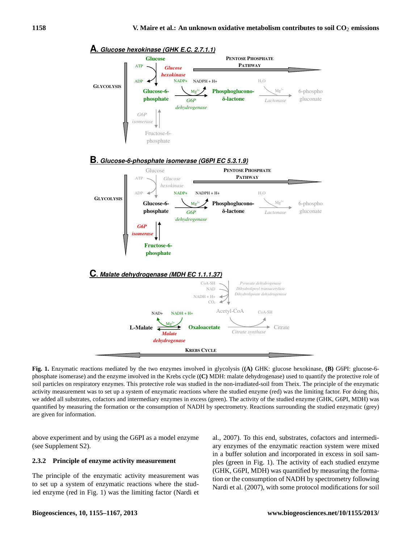

**A. Glucose hexokinase (GHK E.C. 2.7.1.1)**

soil particles on respiratory enzymes. This protective role was studied in the non-irradiated-soil from Theix. The principle of the enzymatic **Fig. 1.** Enzymatic reactions mediated by the two enzymes involved in glycolysis (**(A)** GHK: glucose hexokinase, **(B)** G6PI: glucose-6 phosphate isomerase) and the enzyme involved in the Krebs cycle (**(C)** MDH: malate dehydrogenase) used to quantify the protective role of activity measurement was to set up a system of enzymatic reactions where the studied enzyme (red) was the limiting factor. For doing this, we added all substrates, cofactors and intermediary enzymes in excess (green). The activity of the studied enzyme (GHK, G6PI, MDH) was quantified by measuring the formation or the consumption of NADH by spectrometry. Reactions surrounding the studied enzymatic (grey) are given for information.

above experiment and by using the G6PI as a model enzyme (see Supplement S2).

# **2.3.2 Principle of enzyme activity measurement**

The principle of the enzymatic activity measurement was to set up a system of enzymatic reactions where the studied enzyme (red in Fig. 1) was the limiting factor (Nardi et al., 2007). To this end, substrates, cofactors and intermediary enzymes of the enzymatic reaction system were mixed in a buffer solution and incorporated in excess in soil samples (green in Fig. 1). The activity of each studied enzyme (GHK, G6PI, MDH) was quantified by measuring the formation or the consumption of NADH by spectrometry following Nardi et al. (2007), with some protocol modifications for soil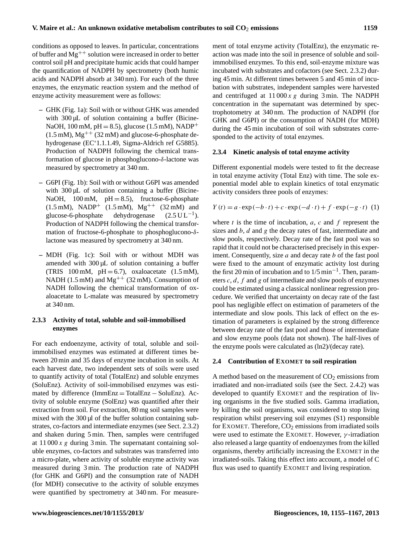conditions as opposed to leaves. In particular, concentrations of buffer and  $Mg^{++}$  solution were increased in order to better control soil pH and precipitate humic acids that could hamper the quantification of NADPH by spectrometry (both humic acids and NADPH absorb at 340 nm). For each of the three enzymes, the enzymatic reaction system and the method of enzyme activity measurement were as follows:

- **–** GHK (Fig. 1a): Soil with or without GHK was amended with 300 µL of solution containing a buffer (Bicine-NaOH, 100 mM,  $pH = 8.5$ ), glucose (1.5 mM), NADP<sup>+</sup>  $(1.5 \text{ mM})$ , Mg<sup>++</sup>  $(32 \text{ mM})$  and glucose-6-phosphate dehydrogenase (EC'1.1.1.49, Sigma-Aldrich ref G5885). Production of NADPH following the chemical transformation of glucose in phosphoglucono-δ-lactone was measured by spectrometry at 340 nm.
- **–** G6PI (Fig. 1b): Soil with or without G6PI was amended with 300 µL of solution containing a buffer (Bicine-NaOH,  $100 \text{ mM}$ ,  $pH = 8.5$ ), fructose-6-phosphate  $(1.5 \text{ mM})$ , NADP<sup>+</sup>  $(1.5 \text{ mM})$ , Mg<sup>++</sup>  $(32 \text{ mM})$  and glucose-6-phosphate dehydrogenase  $(2.5 \text{ UL}^{-1})$ . Production of NADPH following the chemical transformation of fructose-6-phosphate to phosphoglucono-δlactone was measured by spectrometry at 340 nm.
- **–** MDH (Fig. 1c): Soil with or without MDH was amended with  $300 \mu L$  of solution containing a buffer (TRIS 100 mM,  $pH = 6.7$ ), oxaloacetate (1.5 mM), NADH (1.5 mM) and  $Mg^{++}$  (32 mM). Consumption of NADH following the chemical transformation of oxaloacetate to L-malate was measured by spectrometry at 340 nm.

# **2.3.3 Activity of total, soluble and soil-immobilised enzymes**

For each endoenzyme, activity of total, soluble and soilimmobilised enzymes was estimated at different times between 20 min and 35 days of enzyme incubation in soils. At each harvest date, two independent sets of soils were used to quantify activity of total (TotalEnz) and soluble enzymes (SoluEnz). Activity of soil-immobilised enzymes was estimated by difference (ImmEnz = TotalEnz − SoluEnz). Activity of soluble enzyme (SolEnz) was quantified after their extraction from soil. For extraction, 80 mg soil samples were mixed with the 300 µl of the buffer solution containing substrates, co-factors and intermediate enzymes (see Sect. 2.3.2) and shaken during 5 min. Then, samples were centrifuged at  $11\,000\,x\,g$  during 3 min. The supernatant containing soluble enzymes, co-factors and substrates was transferred into a micro-plate, where activity of soluble enzyme activity was measured during 3 min. The production rate of NADPH (for GHK and G6PI) and the consumption rate of NADH (for MDH) consecutive to the activity of soluble enzymes were quantified by spectrometry at 340 nm. For measurement of total enzyme activity (TotalEnz), the enzymatic reaction was made into the soil in presence of soluble and soilimmobilised enzymes. To this end, soil-enzyme mixture was incubated with substrates and cofactors (see Sect. 2.3.2) during 45 min. At different times between 5 and 45 min of incubation with substrates, independent samples were harvested and centrifuged at  $11000 x g$  during 3 min. The NADPH concentration in the supernatant was determined by spectrophotometry at 340 nm. The production of NADPH (for GHK and G6PI) or the consumption of NADH (for MDH) during the 45 min incubation of soil with substrates corresponded to the activity of total enzymes.

# **2.3.4 Kinetic analysis of total enzyme activity**

Different exponential models were tested to fit the decrease in total enzyme activity (Total Enz) with time. The sole exponential model able to explain kinetics of total enzymatic activity considers three pools of enzymes:

$$
Y(t) = a \cdot \exp(-b \cdot t) + c \cdot \exp(-d \cdot t) + f \cdot \exp(-g \cdot t)
$$
 (1)

where  $t$  is the time of incubation,  $a$ ,  $c$  and  $f$  represent the sizes and  $b$ ,  $d$  and  $g$  the decay rates of fast, intermediate and slow pools, respectively. Decay rate of the fast pool was so rapid that it could not be characterised precisely in this experiment. Consequently, size  $a$  and decay rate  $b$  of the fast pool were fixed to the amount of enzymatic activity lost during the first 20 min of incubation and to 1/5 min−<sup>1</sup> . Then, parameters  $c, d, f$  and g of intermediate and slow pools of enzymes could be estimated using a classical nonlinear regression procedure. We verified that uncertainty on decay rate of the fast pool has negligible effect on estimation of parameters of the intermediate and slow pools. This lack of effect on the estimation of parameters is explained by the strong difference between decay rate of the fast pool and those of intermediate and slow enzyme pools (data not shown). The half-lives of the enzyme pools were calculated as (ln2)/(decay rate).

# **2.4 Contribution of EXOMET to soil respiration**

A method based on the measurement of  $CO<sub>2</sub>$  emissions from irradiated and non-irradiated soils (see the Sect. 2.4.2) was developed to quantify EXOMET and the respiration of living organisms in the five studied soils. Gamma irradiation, by killing the soil organisms, was considered to stop living respiration whilst preserving soil enzymes (S1) responsible for EXOMET. Therefore,  $CO<sub>2</sub>$  emissions from irradiated soils were used to estimate the EXOMET. However,  $\gamma$ -irradiation also released a large quantity of endoenzymes from the killed organisms, thereby artificially increasing the EXOMET in the irradiated-soils. Taking this effect into account, a model of C flux was used to quantify EXOMET and living respiration.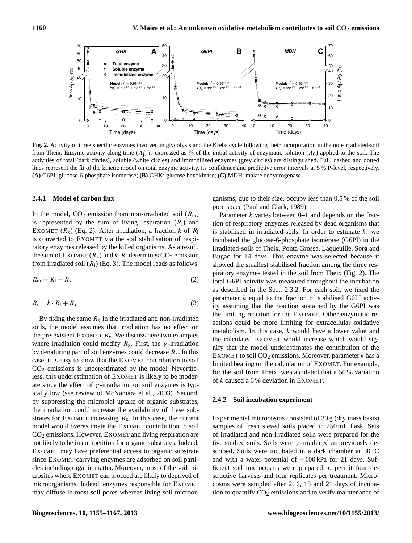

**Figure 2**  activities of total (dark circles), soluble (white circles) and immobilised enzymes (grey circles) are distinguished. Full, dashed and dotted **Fig. 2.** Activity of three specific enzymes involved in glycolysis and the Krebs cycle following their incorporation in the non-irradiated-soil from Theix. Enzyme activity along time  $(A_j)$  is expressed as % of the initial activity of enzymatic solution  $(A_0)$  applied to the soil. The lines represent the fit of the kinetic model on total enzyme activity, its confidence and predictive error intervals at 5 % P-level, respectively. **(A)** G6PI: glucose-6-phosphate isomerase; **(B)** GHK: glucose hexokinase; **(C)** MDH: malate dehydrogenase.

#### **2.4.1 Model of carbon flux**

In the model,  $CO_2$  emission from non-irradiated soil  $(R_{ni})$ is represented by the sum of living respiration  $(R<sub>1</sub>)$  and EXOMET ( $R_x$ ) (Eq. 2). After irradiation, a fraction k of  $R_1$ is converted to EXOMET via the soil stabilisation of respiratory enzymes released by the killed organisms. As a result, the sum of EXOMET  $(R_x)$  and  $k \cdot R_1$  determines CO<sub>2</sub> emission from irradiated soil  $(R<sub>i</sub>)$  (Eq. 3). The model reads as follows

$$
R_{\rm ni} = R_{\rm l} + R_{\rm x} \tag{2}
$$

$$
R_{\rm i} = k \cdot R_{\rm l} + R_{\rm x} \tag{3}
$$

By fixing the same  $R_x$  in the irradiated and non-irradiated soils, the model assumes that irradiation has no effect on the pre-existent EXOMET  $R_x$ . We discuss here two examples where irradiation could modify  $R_x$ . First, the  $\gamma$ -irradiation by denaturing part of soil enzymes could decrease  $R_x$ . In this case, it is easy to show that the EXOMET contribution to soil  $CO<sub>2</sub>$  emissions is underestimated by the model. Nevertheless, this underestimation of EXOMET is likely to be moderate since the effect of  $\gamma$ -irradiation on soil enzymes is typically low (see review of McNamara et al., 2003). Second, by suppressing the microbial uptake of organic substrates, the irradiation could increase the availability of these substrates for EXOMET increasing  $R_x$ . In this case, the current model would overestimate the EXOMET contribution to soil  $CO<sub>2</sub>$  emissions. However, EXOMET and living respiration are not likely to be in competition for organic substrates. Indeed, EXOMET may have preferential access to organic substrate since EXOMET-carrying enzymes are adsorbed on soil particles including organic matter. Moreover, most of the soil microsites where EXOMET can proceed are likely to deprived of microorganisms. Indeed, enzymes responsible for EXOMET may diffuse in most soil pores whereas living soil microor-

ganisms, due to their size, occupy less than 0.5 % of the soil pore space (Paul and Clark, 1989).

Parameter  $k$  varies between 0–1 and depends on the fraction of respiratory enzymes released by dead organisms that is stabilised in irradiated-soils. In order to estimate  $k$ , we incubated the glucose-6-phosphate isomerase (G6PI) in the irradiated-soils of Theix, Ponta Grossa, Laqueuille, Sor**ø** and Bugac for 14 days. This enzyme was selected because it showed the smallest stabilised fraction among the three respiratory enzymes tested in the soil from Theix (Fig. 2). The total G6PI activity was measured throughout the incubation as described in the Sect. 2.3.2. For each soil, we fixed the parameter  $k$  equal to the fraction of stabilised G6PI activity assuming that the reaction sustained by the G6PI was the limiting reaction for the EXOMET. Other enzymatic reactions could be more limiting for extracellular oxidative metabolism. In this case, k would have a lower value and the calculated EXOMET would increase which would signify that the model underestimates the contribution of the EXOMET to soil  $CO<sub>2</sub>$  emissions. Moreover, parameter k has a limited bearing on the calculation of EXOMET. For example, for the soil from Theix, we calculated that a 50 % variation of k caused a 6 % deviation in EXOMET.

#### **2.4.2 Soil incubation experiment**

Experimental microcosms consisted of 30 g (dry mass basis) samples of fresh sieved soils placed in 250 mL flask. Sets of irradiated and non-irradiated soils were prepared for the five studied soils. Soils were  $\gamma$ -irradiated as previously described. Soils were incubated in a dark chamber at 30 °C and with a water potential of  $-100$  kPa for 21 days. Sufficient soil microcosms were prepared to permit four destructive harvests and four replicates per treatment. Microcosms were sampled after 2, 6, 13 and 21 days of incubation to quantify  $CO<sub>2</sub>$  emissions and to verify maintenance of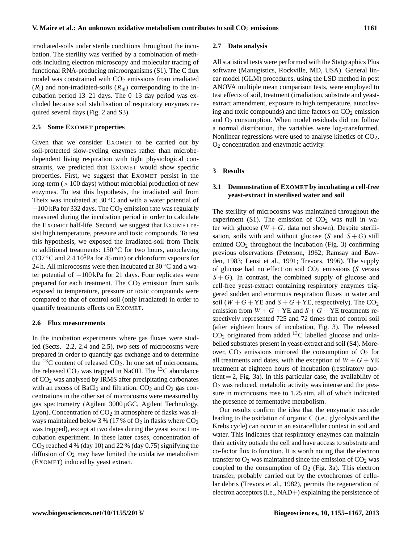irradiated-soils under sterile conditions throughout the incubation. The sterility was verified by a combination of methods including electron microscopy and molecular tracing of functional RNA-producing microorganisms (S1). The C flux model was constrained with  $CO<sub>2</sub>$  emissions from irradiated  $(R_i)$  and non-irradiated-soils  $(R_{ni})$  corresponding to the incubation period 13–21 days. The 0–13 day period was excluded because soil stabilisation of respiratory enzymes required several days (Fig. 2 and S3).

#### **2.5 Some EXOMET properties**

Given that we consider EXOMET to be carried out by soil-protected slow-cycling enzymes rather than microbedependent living respiration with tight physiological constraints, we predicted that EXOMET would show specific properties. First, we suggest that EXOMET persist in the long-term (> 100 days) without microbial production of new enzymes. To test this hypothesis, the irradiated soil from Theix was incubated at  $30^{\circ}$ C and with a water potential of −100 kPa for 332 days. The CO<sup>2</sup> emission rate was regularly measured during the incubation period in order to calculate the EXOMET half-life. Second, we suggest that EXOMET resist high temperature, pressure and toxic compounds. To test this hypothesis, we exposed the irradiated-soil from Theix to additional treatments:  $150\,^{\circ}\text{C}$  for two hours, autoclaving  $(137 \degree C$  and 2.4 10<sup>5</sup>Pa for 45 min) or chloroform vapours for 24 h. All microcosms were then incubated at  $30 °C$  and a water potential of −100 kPa for 21 days. Four replicates were prepared for each treatment. The  $CO<sub>2</sub>$  emission from soils exposed to temperature, pressure or toxic compounds were compared to that of control soil (only irradiated) in order to quantify treatments effects on EXOMET.

## **2.6 Flux measurements**

In the incubation experiments where gas fluxes were studied (Sects. 2.2, 2.4 and 2.5), two sets of microcosms were prepared in order to quantify gas exchange and to determine the  $^{13}$ C content of released CO<sub>2</sub>. In one set of microcosms, the released  $CO<sub>2</sub>$  was trapped in NaOH. The <sup>13</sup>C abundance of CO<sup>2</sup> was analysed by IRMS after precipitating carbonates with an excess of  $BaCl<sub>2</sub>$  and filtration.  $CO<sub>2</sub>$  and  $O<sub>2</sub>$  gas concentrations in the other set of microcosms were measured by gas spectrometry (Agilent 3000 µGC, Agilent Technology, Lyon). Concentration of  $CO<sub>2</sub>$  in atmosphere of flasks was always maintained below 3 % (17 % of  $O_2$  in flasks where  $CO_2$ was trapped), except at two dates during the yeast extract incubation experiment. In these latter cases, concentration of  $CO<sub>2</sub>$  reached 4 % (day 10) and 22 % (day 0.75) signifying the diffusion of  $O_2$  may have limited the oxidative metabolism (EXOMET) induced by yeast extract.

#### **2.7 Data analysis**

All statistical tests were performed with the Statgraphics Plus software (Manugistics, Rockville, MD, USA). General linear model (GLM) procedures, using the LSD method in post ANOVA multiple mean comparison tests, were employed to test effects of soil, treatment (irradiation, substrate and yeastextract amendment, exposure to high temperature, autoclaving and toxic compounds) and time factors on  $CO<sub>2</sub>$  emission and  $O<sub>2</sub>$  consumption. When model residuals did not follow a normal distribution, the variables were log-transformed. Nonlinear regressions were used to analyse kinetics of  $CO<sub>2</sub>$ , O<sup>2</sup> concentration and enzymatic activity.

#### **3 Results**

# **3.1 Demonstration of EXOMET by incubating a cell-free yeast-extract in sterilised water and soil**

The sterility of microcosms was maintained throughout the experiment (S1). The emission of  $CO<sub>2</sub>$  was null in water with glucose  $(W + G)$ , data not shown). Despite sterilisation, soils with and without glucose (S and  $S + G$ ) still emitted  $CO<sub>2</sub>$  throughout the incubation (Fig. 3) confirming previous observations (Peterson, 1962; Ramsay and Bawden, 1983; Lensi et al., 1991; Trevors, 1996). The supply of glucose had no effect on soil  $CO<sub>2</sub>$  emissions (S versus  $S + G$ ). In contrast, the combined supply of glucose and cell-free yeast-extract containing respiratory enzymes triggered sudden and enormous respiration fluxes in water and soil ( $W + G + YE$  and  $S + G + YE$ , respectively). The CO<sub>2</sub> emission from  $W + G + YE$  and  $S + G + YE$  treatments respectively represented 725 and 72 times that of control soil (after eighteen hours of incubation, Fig. 3). The released  $CO<sub>2</sub>$  originated from added <sup>13</sup>C labelled glucose and unlabelled substrates present in yeast-extract and soil (S4). Moreover,  $CO<sub>2</sub>$  emissions mirrored the consumption of  $O<sub>2</sub>$  for all treatments and dates, with the exception of  $W + G + YE$ treatment at eighteen hours of incubation (respiratory quotient  $= 2$ , Fig. 3a). In this particular case, the availability of  $O<sub>2</sub>$  was reduced, metabolic activity was intense and the pressure in microcosms rose to 1.25 atm, all of which indicated the presence of fermentative metabolism.

Our results confirm the idea that the enzymatic cascade leading to the oxidation of organic C (i.e., glycolysis and the Krebs cycle) can occur in an extracellular context in soil and water. This indicates that respiratory enzymes can maintain their activity outside the cell and have access to substrate and co-factor flux to function. It is worth noting that the electron transfer to  $O_2$  was maintained since the emission of  $CO_2$  was coupled to the consumption of  $O_2$  (Fig. 3a). This electron transfer, probably carried out by the cytochromes of cellular debris (Trevors et al., 1982), permits the regeneration of electron acceptors (i.e., NAD+) explaining the persistence of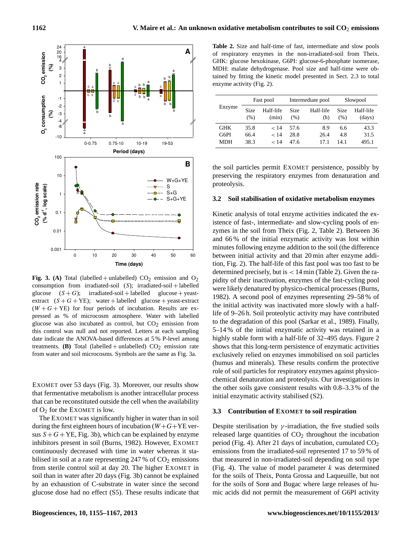

**Fig. 3.** (A) Total (labelled + unlabelled)  $CO_2$  emission and  $O_2$ consumption from irradiated-soil  $(S)$ ; irradiated-soil + labelled glucose  $(S+G)$ ; irradiated-soil + labelled glucose + yeastextract  $(S + G + YE)$ ; water + labelled glucose + yeast-extract  $(W + G + YE)$  for four periods of incubation. Results are expressed as % of microcosm atmosphere. Water with labelled glucose was also incubated as control, but  $CO<sub>2</sub>$  emission from this control was null and not reported. Letters at each sampling date indicate the ANOVA-based differences at 5 % P-level among treatments. **(B)** Total (labelled + unlabelled)  $CO<sub>2</sub>$  emission rate from water and soil microcosms. Symbols are the same as Fig. 3a.

EXOMET over 53 days (Fig. 3). Moreover, our results show that fermentative metabolism is another intracellular process that can be reconstituted outside the cell when the availability of  $O_2$  for the EXOMET is low.

The EXOMET was significantly higher in water than in soil during the first eighteen hours of incubation ( $W+G+YE$  versus  $S + G + YE$ , Fig. 3b), which can be explained by enzyme inhibitors present in soil (Burns, 1982). However, EXOMET continuously decreased with time in water whereas it stabilised in soil at a rate representing  $247\%$  of  $CO<sub>2</sub>$  emissions from sterile control soil at day 20. The higher EXOMET in soil than in water after 20 days (Fig. 3b) cannot be explained by an exhaustion of C-substrate in water since the second glucose dose had no effect (S5). These results indicate that

**Table 2.** Size and half-time of fast, intermediate and slow pools of respiratory enzymes in the non-irradiated-soil from Theix. GHK: glucose hexokinase, G6PI: glucose-6-phosphate isomerase, MDH: malate dehydrogenase. Pool size and half-time were obtained by fitting the kinetic model presented in Sect. 2.3 to total enzyme activity (Fig. 2).

| Enzyme     | Fast pool    |                    |              | Intermediate pool | Slowpool            |                     |
|------------|--------------|--------------------|--------------|-------------------|---------------------|---------------------|
|            | Size<br>(% ) | Half-life<br>(min) | Size<br>(% ) | Half-life<br>(h)  | <b>Size</b><br>(% ) | Half-life<br>(days) |
| <b>GHK</b> | 35.8         | < 14               | 57.6         | 89                | 6.6                 | 43.3                |
| G6PI       | 66.4         | < 14               | 28.8         | 26.4              | 4.8                 | 31.5                |
| MDH        | 38.3         | 14                 | 47.6         | 17.1              | 14.1                | 495.1               |

the soil particles permit EXOMET persistence, possibly by preserving the respiratory enzymes from denaturation and proteolysis.

# **3.2 Soil stabilisation of oxidative metabolism enzymes**

Kinetic analysis of total enzyme activities indicated the existence of fast-, intermediate- and slow-cycling pools of enzymes in the soil from Theix (Fig. 2, Table 2). Between 36 and 66 % of the initial enzymatic activity was lost within minutes following enzyme addition to the soil (the difference between initial activity and that 20 min after enzyme addition, Fig. 2). The half-life of this fast pool was too fast to be determined precisely, but is  $< 14$  min (Table 2). Given the rapidity of their inactivation, enzymes of the fast-cycling pool were likely denatured by physico-chemical processes (Burns, 1982). A second pool of enzymes representing 29–58 % of the initial activity was inactivated more slowly with a halflife of 9–26 h. Soil proteolytic activity may have contributed to the degradation of this pool (Sarkar et al., 1989). Finally, 5–14 % of the initial enzymatic activity was retained in a highly stable form with a half-life of 32–495 days. Figure 2 shows that this long-term persistence of enzymatic activities exclusively relied on enzymes immobilised on soil particles (humus and minerals). These results confirm the protective role of soil particles for respiratory enzymes against physicochemical denaturation and proteolysis. Our investigations in the other soils gave consistent results with 0.8–3.3 % of the initial enzymatic activity stabilised (S2).

# **3.3 Contribution of EXOMET to soil respiration**

Despite sterilisation by  $\gamma$ -irradiation, the five studied soils released large quantities of  $CO<sub>2</sub>$  throughout the incubation period (Fig. 4). After 21 days of incubation, cumulated  $CO<sub>2</sub>$ emissions from the irradiated-soil represented 17 to 59 % of that measured in non-irradiated-soil depending on soil type (Fig. 4). The value of model parameter  $k$  was determined for the soils of Theix, Ponta Grossa and Laqueuille, but not for the soils of Sorø and Bugac where large releases of humic acids did not permit the measurement of G6PI activity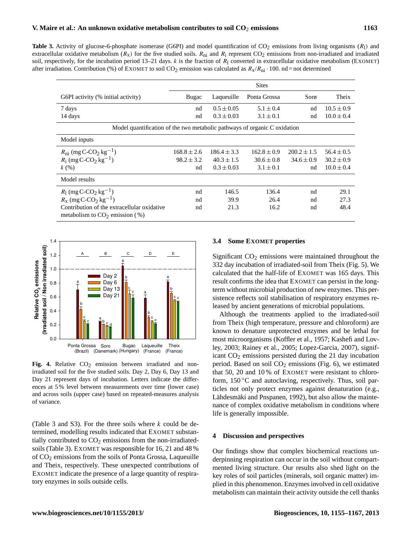**Table 3.** Activity of glucose-6-phosphate isomerase (G6PI) and model quantification of  $CO_2$  emissions from living organisms  $(R<sub>1</sub>)$  and extracellular oxidative metabolism ( $R_x$ ) for the five studied soils.  $R_{ni}$  and  $R_i$  represent CO<sub>2</sub> emissions from non-irradiated and irradiated soil, respectively, for the incubation period 13–21 days.  $k$  is the fraction of  $R_1$  converted in extracellular oxidative metabolism (EXOMET) after irradiation. Contribution (%) of EXOMET to soil CO<sub>2</sub> emission was calculated as  $R_x/R_{\text{ni}} \cdot 100$ . nd = not determined

|                                                                                 | <b>Sites</b>    |                 |                 |                 |                |  |  |
|---------------------------------------------------------------------------------|-----------------|-----------------|-----------------|-----------------|----------------|--|--|
| G6PI activity (% initial activity)                                              | Bugac           | Laqueuille      | Ponta Grossa    | Sorø            | Theix          |  |  |
| 7 days                                                                          | nd              | $0.5 \pm 0.05$  | $5.1 \pm 0.4$   | nd              | $10.5 \pm 0.9$ |  |  |
| 14 days                                                                         | nd              | $0.3 \pm 0.03$  | $3.1 \pm 0.1$   | nd              | $10.0 \pm 0.4$ |  |  |
| Model quantification of the two metabolic pathways of organic C oxidation       |                 |                 |                 |                 |                |  |  |
| Model inputs                                                                    |                 |                 |                 |                 |                |  |  |
| $R_{\text{ni}}$ (mg C-CO <sub>2</sub> kg <sup>-1</sup> )                        | $168.8 \pm 2.6$ | $186.4 \pm 3.3$ | $162.8 \pm 0.9$ | $200.2 \pm 1.5$ | $56.4 \pm 0.5$ |  |  |
| $R_i$ (mg C-CO <sub>2</sub> kg <sup>-1</sup> )                                  | $98.2 \pm 3.2$  | $40.3 \pm 1.5$  | $30.6 \pm 0.8$  | $34.6 \pm 0.9$  | $30.2 \pm 0.9$ |  |  |
| k(%)                                                                            | nd              | $0.3 \pm 0.03$  | $3.1 \pm 0.1$   | nd              | $10.0 \pm 0.4$ |  |  |
| Model results                                                                   |                 |                 |                 |                 |                |  |  |
| $R_1$ (mg C-CO <sub>2</sub> kg <sup>-1</sup> )                                  | nd              | 146.5           | 136.4           | nd              | 29.1           |  |  |
| $R_{x}$ (mg C-CO <sub>2</sub> kg <sup>-1</sup> )                                | nd              | 39.9            | 26.4            | nd              | 27.3           |  |  |
| Contribution of the extracellular oxidative<br>metabolism to $CO2$ emission (%) | nd              | 21.3            | 16.2            | nd              | 48.4           |  |  |



**Fig. 4.** Relative  $CO<sub>2</sub>$  emission between irradiated and nonirradiated soil for the five studied soils. Day 2, Day 6, Day 13 and Day 21 represent days of incubation. Letters indicate the differences at 5 % level between measurements over time (lower case) and across soils (upper case) based on repeated-measures analysis of variance.

(Table 3 and S3). For the three soils where  $k$  could be determined, modelling results indicated that EXOMET substantially contributed to  $CO<sub>2</sub>$  emissions from the non-irradiatedsoils (Table 3). EXOMET was responsible for 16, 21 and 48 % of CO<sup>2</sup> emissions from the soils of Ponta Grossa, Laqueuille and Theix, respectively. These unexpected contributions of EXOMET indicate the presence of a large quantity of respiratory enzymes in soils outside cells.

# **3.4 Some EXOMET properties**

Significant  $CO<sub>2</sub>$  emissions were maintained throughout the 332 day incubation of irradiated-soil from Theix (Fig. 5). We calculated that the half-life of EXOMET was 165 days. This result confirms the idea that EXOMET can persist in the longterm without microbial production of new enzymes. This persistence reflects soil stabilisation of respiratory enzymes released by ancient generations of microbial populations.

Although the treatments applied to the irradiated-soil from Theix (high temperature, pressure and chloroform) are known to denature unprotected enzymes and be lethal for most microorganisms (Koffler et al., 1957; Kashefi and Lovley, 2003; Rainey et al., 2005; Lopez-Garcia, 2007), significant  $CO<sub>2</sub>$  emissions persisted during the 21 day incubation period. Based on soil  $CO<sub>2</sub>$  emissions (Fig. 6), we estimated that 50, 20 and 10 % of EXOMET were resistant to chloroform, 150 ℃ and autoclaving, respectively. Thus, soil particles not only protect enzymes against denaturation (e.g., Lähdesmäki and Pnspanen, 1992), but also allow the maintenance of complex oxidative metabolism in conditions where life is generally impossible.

# **4 Discussion and perspectives**

Our findings show that complex biochemical reactions underpinning respiration can occur in the soil without compartmented living structure. Our results also shed light on the key roles of soil particles (minerals, soil organic matter) implied in this phenomenon. Enzymes involved in cell oxidative metabolism can maintain their activity outside the cell thanks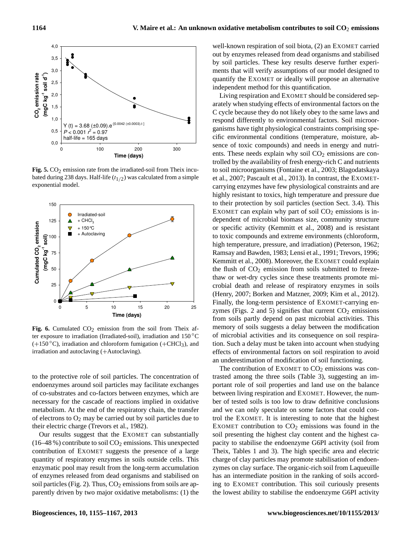

bated during 238 days. Half-life  $(t_{1/2})$  was calculated from a simple **Fig. 5.** CO<sub>2</sub> emission rate from the irradiated-soil from Theix incuexponential model.



ter exposure to irradiation (Irradiated-soil), irradiation and 150 °C Fig. 6. Cumulated  $CO<sub>2</sub>$  emission from the soil from Theix af- $(+150\degree C)$ , irradiation and chloroform fumigation  $(+CHCl<sub>3</sub>)$ , and irradiation and autoclaving (+Autoclaving).

to the protective role of soil particles. The concentration of endoenzymes around soil particles may facilitate exchanges of co-substrates and co-factors between enzymes, which are necessary for the cascade of reactions implied in oxidative metabolism. At the end of the respiratory chain, the transfer of electrons to  $O_2$  may be carried out by soil particles due to their electric charge (Trevors et al., 1982).

Our results suggest that the EXOMET can substantially  $(16–48\%)$  contribute to soil  $CO<sub>2</sub>$  emissions. This unexpected contribution of EXOMET suggests the presence of a large quantity of respiratory enzymes in soils outside cells. This enzymatic pool may result from the long-term accumulation of enzymes released from dead organisms and stabilised on soil particles (Fig. 2). Thus,  $CO<sub>2</sub>$  emissions from soils are apparently driven by two major oxidative metabolisms: (1) the well-known respiration of soil biota, (2) an EXOMET carried out by enzymes released from dead organisms and stabilised by soil particles. These key results deserve further experiments that will verify assumptions of our model designed to quantify the EXOMET or ideally will propose an alternative independent method for this quantification.

Living respiration and EXOMET should be considered separately when studying effects of environmental factors on the C cycle because they do not likely obey to the same laws and respond differently to environmental factors. Soil microorganisms have tight physiological constraints comprising specific environmental conditions (temperature, moisture, absence of toxic compounds) and needs in energy and nutrients. These needs explain why soil  $CO<sub>2</sub>$  emissions are controlled by the availability of fresh energy-rich C and nutrients to soil microorganisms (Fontaine et al., 2003; Blagodatskaya et al., 2007; Pascault et al., 2013). In contrast, the EXOMETcarrying enzymes have few physiological constraints and are highly resistant to toxics, high temperature and pressure due to their protection by soil particles (section Sect. 3.4). This EXOMET can explain why part of soil  $CO<sub>2</sub>$  emissions is independent of microbial biomass size, community structure or specific activity (Kemmitt et al., 2008) and is resistant to toxic compounds and extreme environments (chloroform, high temperature, pressure, and irradiation) (Peterson, 1962; Ramsay and Bawden, 1983; Lensi et al., 1991; Trevors, 1996; Kemmitt et al., 2008). Moreover, the EXOMET could explain the flush of  $CO<sub>2</sub>$  emission from soils submitted to freezethaw or wet-dry cycles since these treatments promote microbial death and release of respiratory enzymes in soils (Henry, 2007; Borken and Matzner, 2009; Kim et al., 2012). Finally, the long-term persistence of EXOMET-carrying enzymes (Figs. 2 and 5) signifies that current  $CO<sub>2</sub>$  emissions from soils partly depend on past microbial activities. This memory of soils suggests a delay between the modification of microbial activities and its consequence on soil respiration. Such a delay must be taken into account when studying effects of environmental factors on soil respiration to avoid an underestimation of modification of soil functioning.

The contribution of EXOMET to  $CO<sub>2</sub>$  emissions was contrasted among the three soils (Table 3), suggesting an important role of soil properties and land use on the balance between living respiration and EXOMET. However, the number of tested soils is too low to draw definitive conclusions and we can only speculate on some factors that could control the EXOMET. It is interesting to note that the highest EXOMET contribution to  $CO<sub>2</sub>$  emissions was found in the soil presenting the highest clay content and the highest capacity to stabilise the endoenzyme G6PI activity (soil from Theix, Tables 1 and 3). The high specific area and electric charge of clay particles may promote stabilisation of endoenzymes on clay surface. The organic-rich soil from Laqueuille has an intermediate position in the ranking of soils according to EXOMET contribution. This soil curiously presents the lowest ability to stabilise the endoenzyme G6PI activity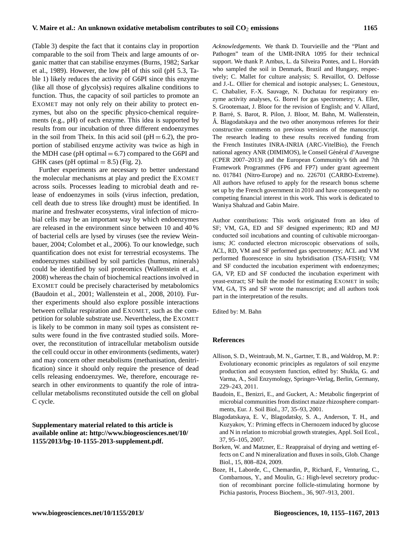(Table 3) despite the fact that it contains clay in proportion comparable to the soil from Theix and large amounts of organic matter that can stabilise enzymes (Burns, 1982; Sarkar et al., 1989). However, the low pH of this soil (pH 5.3, Table 1) likely reduces the activity of G6PI since this enzyme (like all those of glycolysis) requires alkaline conditions to function. Thus, the capacity of soil particles to promote an EXOMET may not only rely on their ability to protect enzymes, but also on the specific physico-chemical requirements (e.g., pH) of each enzyme. This idea is supported by results from our incubation of three different endoenzymes in the soil from Theix. In this acid soil ( $pH = 6.2$ ), the proportion of stabilised enzyme activity was twice as high in the MDH case ( $pH$  optimal  $= 6.7$ ) compared to the G6PI and GHK cases (pH optimal  $= 8.5$ ) (Fig. 2).

Further experiments are necessary to better understand the molecular mechanisms at play and predict the EXOMET across soils. Processes leading to microbial death and release of endoenzymes in soils (virus infection, predation, cell death due to stress like drought) must be identified. In marine and freshwater ecosystems, viral infection of microbial cells may be an important way by which endoenzymes are released in the environment since between 10 and 40 % of bacterial cells are lysed by viruses (see the review Weinbauer, 2004; Colombet et al., 2006). To our knowledge, such quantification does not exist for terrestrial ecosystems. The endoenzymes stabilised by soil particles (humus, minerals) could be identified by soil proteomics (Wallenstein et al., 2008) whereas the chain of biochemical reactions involved in EXOMET could be precisely characterised by metabolomics (Baudoin et al., 2001; Wallenstein et al., 2008, 2010). Further experiments should also explore possible interactions between cellular respiration and EXOMET, such as the competition for soluble substrate use. Nevertheless, the EXOMET is likely to be common in many soil types as consistent results were found in the five contrasted studied soils. Moreover, the reconstitution of intracellular metabolism outside the cell could occur in other environments (sediments, water) and may concern other metabolisms (methanisation, denitrification) since it should only require the presence of dead cells releasing endoenzymes. We, therefore, encourage research in other environments to quantify the role of intracellular metabolisms reconstituted outside the cell on global C cycle.

**Supplementary material related to this article is available online at: [http://www.biogeosciences.net/10/](http://www.biogeosciences.net/10/1155/2013/bg-10-1155-2013-supplement.pdf) [1155/2013/bg-10-1155-2013-supplement.pdf.](http://www.biogeosciences.net/10/1155/2013/bg-10-1155-2013-supplement.pdf)**

*Acknowledgements.* We thank D. Tourvieille and the "Plant and Pathogen" team of the UMR-INRA 1095 for their technical support. We thank P. Ambus, L. da Silveira Pontes, and L. Horváth who sampled the soil in Denmark, Brazil and Hungary, respectively; C. Mallet for culture analysis; S. Revaillot, O. Delfosse and J.-L. Ollier for chemical and isotopic analyses; L. Genestoux, C. Chabalier, F.-X. Sauvage, N. Duchatau for respiratory enzyme activity analyses, G. Borrel for gas spectrometry; A. Eller, S. Grootemaat, J. Bloor for the revision of English; and V. Allard, P. Barre, S. Barot, R. Pilon, J. Bloor, M. Bahn, M. Wallenstein, ´ A. Blagodatskaya and the two other anonymous referees for their constructive comments on previous versions of the manuscript. The research leading to these results received funding from the French Institutes INRA-INRIA (ARC-VitelBio), the French national agency ANR (DIMIMOS), le Conseil Général d'Auvergne (CPER 2007–2013) and the European Community's 6th and 7th Framework Programmes (FP6 and FP7) under grant agreement no. 017841 (Nitro-Europe) and no. 226701 (CARBO-Extreme). All authors have refused to apply for the research bonus scheme set up by the French government in 2010 and have consequently no competing financial interest in this work. This work is dedicated to Waniya Shahzad and Gabin Maire.

Author contributions: This work originated from an idea of SF; VM, GA, ED and SF designed experiments; RD and MJ conducted soil incubations and counting of cultivable microorganisms; JC conducted electron microscopic observations of soils, ACL, RD, VM and SF performed gas spectrometry; ACL and VM performed fluorescence in situ hybridisation (TSA-FISH); VM and SF conducted the incubation experiment with endoenzymes; GA, VP, ED and SF conducted the incubation experiment with yeast-extract; SF built the model for estimating EXOMET in soils; VM, GA, TS and SF wrote the manuscript; and all authors took part in the interpretation of the results.

Edited by: M. Bahn

# **References**

- Allison, S. D., Weintraub, M. N., Gartner, T. B., and Waldrop, M. P.: Evolutionary economic principles as regulators of soil enzyme production and ecosystem function, edited by: Shukla, G. and Varma, A., Soil Enzymology, Springer-Verlag, Berlin, Germany, 229–243, 2011.
- Baudoin, E., Benizri, E., and Guckert, A.: Metabolic fingerprint of microbial communities from distinct maize rhizosphere compartments, Eur. J. Soil Biol., 37, 35–93, 2001.
- Blagodatskaya, E. V., Blagodatsky, S. A., Anderson, T. H., and Kuzyakov, Y.: Priming effects in Chernozem induced by glucose and N in relation to microbial growth strategies, Appl. Soil Ecol., 37, 95–105, 2007.
- Borken, W. and Matzner, E.: Reappraisal of drying and wetting effects on C and N mineralization and fluxes in soils, Glob. Change Biol., 15, 808–824, 2009.
- Boze, H., Laborde, C., Chemardin, P., Richard, F., Venturing, C., Combarnous, Y., and Moulin, G.: High-level secretory production of recombinant porcine follicle-stimulating hormone by Pichia pastoris, Process Biochem., 36, 907–913, 2001.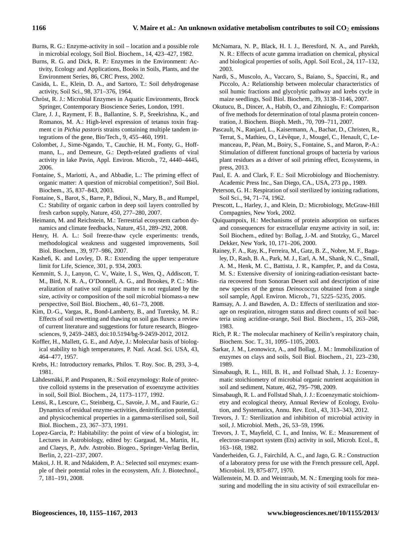- Burns, R. G.: Enzyme-activity in soil location and a possible role in microbial ecology, Soil Biol. Biochem., 14, 423–427, 1982.
- Burns, R. G. and Dick, R. P.: Enzymes in the Environment: Activity, Ecology and Applications, Books in Soils, Plants, and the Environment Series, 86, CRC Press, 2002.
- Casida, L. E., Klein, D. A., and Sartoro, T.: Soil dehydrogenase activity, Soil Sci., 98, 371–376, 1964.
- Chróst, R. J.: Microbial Enzymes in Aquatic Environments, Brock Springer, Contemporary Bioscience Series, London, 1991.
- Clare, J. J., Rayment, F. B., Ballantine, S. P., Sreekrishna, K., and Romanos, M. A.: High-level expression of tetanus toxin fragment c in *Pichia pastoris* strains containing multiple tandem integrations of the gene, Bio/Tech., 9, 455–460, 1991.
- Colombet, J., Sime-Ngando, T., Cauchie, H. M., Fonty, G., Hoffmann, L., and Demeure, G.: Depth-related gradients of viral activity in lake Pavin, Appl. Environ. Microb., 72, 4440–4445, 2006.
- Fontaine, S., Mariotti, A., and Abbadie, L.: The priming effect of organic matter: A question of microbial competition?, Soil Biol. Biochem., 35, 837–843, 2003.
- Fontaine, S., Barot, S., Barre, P., Bdioui, N., Mary, B., and Rumpel, C.: Stability of organic carbon in deep soil layers controlled by fresh carbon supply, Nature, 450, 277–280, 2007.
- Heimann, M. and Reichstein, M.: Terrestrial ecosystem carbon dynamics and climate feedbacks, Nature, 451, 289–292, 2008.
- Henry, H. A. L.: Soil freeze-thaw cycle experiments: trends, methodological weakness and suggested improvements, Soil Biol. Biochem., 39, 977–986, 2007.
- Kashefi, K. and Lovley, D. R.: Extending the upper temperature limit for Life, Science, 301, p. 934, 2003.
- Kemmitt, S. J., Lanyon, C. V., Waite, I. S., Wen, Q., Addiscott, T. M., Bird, N. R. A., O'Donnell, A. G., and Brookes, P. C.: Mineralization of native soil organic matter is not regulated by the size, activity or composition of the soil microbial biomass-a new perspective, Soil Biol. Biochem., 40, 61–73, 2008.
- Kim, D.-G., Vargas, R., Bond-Lamberty, B., and Turetsky, M. R.: Effects of soil rewetting and thawing on soil gas fluxes: a review of current literature and suggestions for future research, Biogeosciences, 9, 2459–2483, [doi:10.5194/bg-9-2459-2012,](http://dx.doi.org/10.5194/bg-9-2459-2012) 2012.
- Koffler, H., Mallett, G. E., and Adye, J.: Molecular basis of biological stability to high temperatures, P. Natl. Acad. Sci. USA, 43, 464–477, 1957.
- Krebs, H.: Introductory remarks, Philos. T. Roy. Soc. B, 293, 3–4, 1981.
- Lähdesmäki, P. and Pnspanen, R.: Soil enzymology: Role of protective colloid systems in the preservation of exoenzyme activities in soil, Soil Biol. Biochem., 24, 1173–1177, 1992.
- Lensi, R., Lescure, C., Steinberg, C., Savoie, J. M., and Faurie, G.: Dynamics of residual enzyme-activities, denitrification potential, and physicochemical properties in a gamma-sterilised soil, Soil Biol. Biochem., 23, 367–373, 1991.
- Lopez-Garcia, P.: Habitability: the point of view of a biologist, in: Lectures in Astrobiology, edited by: Gargaud, M., Martin, H., and Claeys, P., Adv. Astrobio. Biogeo., Springer-Verlag Berlin, Berlin, 2, 221–237, 2007.
- Makoi, J. H. R. and Ndakidem, P. A.: Selected soil enzymes: example of their potential roles in the ecosystem, Afr. J. Biotechnol., 7, 181–191, 2008.
- McNamara, N. P., Black, H. I. J., Beresford, N. A., and Parekh, N. R.: Effects of acute gamma irradiation on chemical, physical and biological properties of soils, Appl. Soil Ecol., 24, 117–132, 2003.
- Nardi, S., Muscolo, A., Vaccaro, S., Baiano, S., Spaccini, R., and Piccolo, A.: Relationship between molecular characteristics of soil humic fractions and glycolytic pathway and krebs cycle in maize seedlings, Soil Biol. Biochem., 39, 3138–3146, 2007.
- Okutucu, B., Dincer, A., Habib, O., and Zihnioglu, F.: Comparison of five methods for determination of total plasma protein concentration, J. Biochem. Bioph. Meth., 70, 709–711, 2007.
- Pascault, N., Ranjard, L., Kaisermann, A., Bachar, D., Christen, R., Terrat, S., Mathieu, O., Lévêque, J., Mougel, C., Henault, C, Lemanceau, P., Péan, M., Boiry, S., Fontaine, S., and Maron, P.-A.: Stimulation of different functional groups of bacteria by various plant residues as a driver of soil priming effect, Ecosystems, in press, 2013.
- Paul, E. A. and Clark, F. E.: Soil Microbiology and Biochemistry. Academic Press Inc., San Diego, CA., USA, 273 pp., 1989.
- Peterson, G. H.: Respiration of soil sterilized by ionizing radiations, Soil Sci., 94, 71–74, 1962.
- Prescott, L., Harley, J., and Klein, D.: Microbiology, McGraw-Hill Compagnies, New York, 2002.
- Quiquampoix, H.: Mechanisms of protein adsorption on surfaces and consequences for extracellular enzyme activity in soil, in: Soil Biochem., edited by: Bollag, J.-M. and Stotzky, G., Marcel Dekker, New York, 10, 171–206, 2000.
- Rainey, F. A., Ray, K., Ferreira, M., Gatz, B. Z., Nobre, M. F., Bagaley, D., Rash, B. A., Park, M. J., Earl, A. M., Shank, N. C., Small, A. M., Henk, M. C., Battista, J. R., Kampfer, P., and da Costa, M. S.: Extensive diversity of ionizing-radiation-resistant bacteria recovered from Sonoran Desert soil and description of nine new species of the genus *Deinococcus* obtained from a single soil sample, Appl. Environ. Microb., 71, 5225–5235, 2005.
- Ramsay, A. J. and Bawden, A. D.: Effects of sterilization and storage on respiration, nitrogen status and direct counts of soil bacteria using acridine-orange, Soil Biol. Biochem., 15, 263–268, 1983.
- Rich, P. R.: The molecular machinery of Keilin's respiratory chain, Biochem. Soc. T., 31, 1095–1105, 2003.
- Sarkar, J. M., Leonowicz, A., and Bollag, J. M.: Immobilization of enzymes on clays and soils, Soil Biol. Biochem., 21, 223–230, 1989.
- Sinsabaugh, R. L., Hill, B. H., and Follstad Shah, J. J.: Ecoenzymatic stoichiometry of microbial organic nutrient acquisition in soil and sediment, Nature, 462, 795–798, 2009.
- Sinsabaugh, R. L. and Follstad Shah, J. J.: Ecoenzymatic stoichiometry and ecological theory, Annual Review of Ecology, Evolution, and Systematics, Annu. Rev. Ecol., 43, 313–343, 2012.
- Trevors, J. T.: Sterilization and inhibition of microbial activity in soil, J. Microbiol. Meth., 26, 53–59, 1996.
- Trevors, J. T., Mayfield, C. I., and Inniss, W. E.: Measurement of electron-transport system (Ets) activity in soil, Microb. Ecol., 8, 163–168, 1982.
- Vanderheiden, G. J., Fairchild, A. C., and Jago, G. R.: Construction of a laboratory press for use with the French pressure cell, Appl. Microbiol. 19, 875-877, 1970.
- Wallenstein, M. D. and Weintraub, M. N.: Emerging tools for measuring and modelling the in situ activity of soil extracellular en-